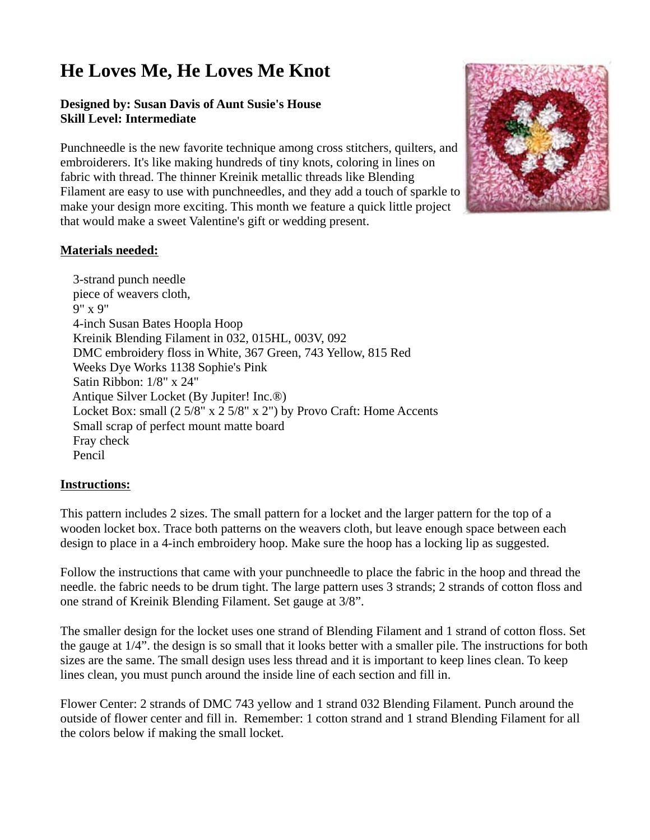## **He Loves Me, He Loves Me Knot**

## **Designed by: Susan Davis of Aunt Susie's House Skill Level: Intermediate**

Punchneedle is the new favorite technique among cross stitchers, quilters, and embroiderers. It's like making hundreds of tiny knots, coloring in lines on fabric with thread. The thinner Kreinik metallic threads like Blending Filament are easy to use with punchneedles, and they add a touch of sparkle to make your design more exciting. This month we feature a quick little project that would make a sweet Valentine's gift or wedding present.



## **Materials needed:**

 3-strand punch needle piece of weavers cloth, 9" x 9" 4-inch Susan Bates Hoopla Hoop Kreinik Blending Filament in 032, 015HL, 003V, 092 DMC embroidery floss in White, 367 Green, 743 Yellow, 815 Red Weeks Dye Works 1138 Sophie's Pink Satin Ribbon: 1/8" x 24" Antique Silver Locket (By Jupiter! Inc.®) Locket Box: small (2 5/8" x 2 5/8" x 2") by Provo Craft: Home Accents Small scrap of perfect mount matte board Fray check Pencil

## **Instructions:**

This pattern includes 2 sizes. The small pattern for a locket and the larger pattern for the top of a wooden locket box. Trace both patterns on the weavers cloth, but leave enough space between each design to place in a 4-inch embroidery hoop. Make sure the hoop has a locking lip as suggested.

Follow the instructions that came with your punchneedle to place the fabric in the hoop and thread the needle. the fabric needs to be drum tight. The large pattern uses 3 strands; 2 strands of cotton floss and one strand of Kreinik Blending Filament. Set gauge at 3/8".

The smaller design for the locket uses one strand of Blending Filament and 1 strand of cotton floss. Set the gauge at 1/4". the design is so small that it looks better with a smaller pile. The instructions for both sizes are the same. The small design uses less thread and it is important to keep lines clean. To keep lines clean, you must punch around the inside line of each section and fill in.

Flower Center: 2 strands of DMC 743 yellow and 1 strand 032 Blending Filament. Punch around the outside of flower center and fill in. Remember: 1 cotton strand and 1 strand Blending Filament for all the colors below if making the small locket.